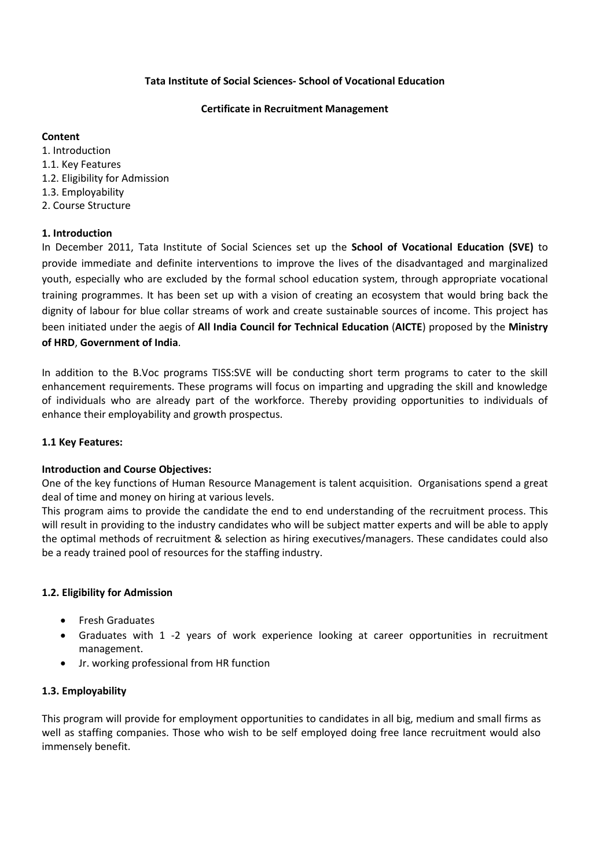# **Tata Institute of Social Sciences- School of Vocational Education**

### **Certificate in Recruitment Management**

### **Content**

1. Introduction 1.1. Key Features 1.2. Eligibility for Admission 1.3. Employability 2. Course Structure

# **1. Introduction**

In December 2011, Tata Institute of Social Sciences set up the **School of Vocational Education (SVE)** to provide immediate and definite interventions to improve the lives of the disadvantaged and marginalized youth, especially who are excluded by the formal school education system, through appropriate vocational training programmes. It has been set up with a vision of creating an ecosystem that would bring back the dignity of labour for blue collar streams of work and create sustainable sources of income. This project has been initiated under the aegis of **All India Council for Technical Education** (**AICTE**) proposed by the **Ministry of HRD**, **Government of India**.

In addition to the B.Voc programs TISS:SVE will be conducting short term programs to cater to the skill enhancement requirements. These programs will focus on imparting and upgrading the skill and knowledge of individuals who are already part of the workforce. Thereby providing opportunities to individuals of enhance their employability and growth prospectus.

### **1.1 Key Features:**

### **Introduction and Course Objectives:**

One of the key functions of Human Resource Management is talent acquisition. Organisations spend a great deal of time and money on hiring at various levels.

This program aims to provide the candidate the end to end understanding of the recruitment process. This will result in providing to the industry candidates who will be subject matter experts and will be able to apply the optimal methods of recruitment & selection as hiring executives/managers. These candidates could also be a ready trained pool of resources for the staffing industry.

### **1.2. Eligibility for Admission**

- Fresh Graduates
- Graduates with 1 -2 years of work experience looking at career opportunities in recruitment management.
- Jr. working professional from HR function

### **1.3. Employability**

This program will provide for employment opportunities to candidates in all big, medium and small firms as well as staffing companies. Those who wish to be self employed doing free lance recruitment would also immensely benefit.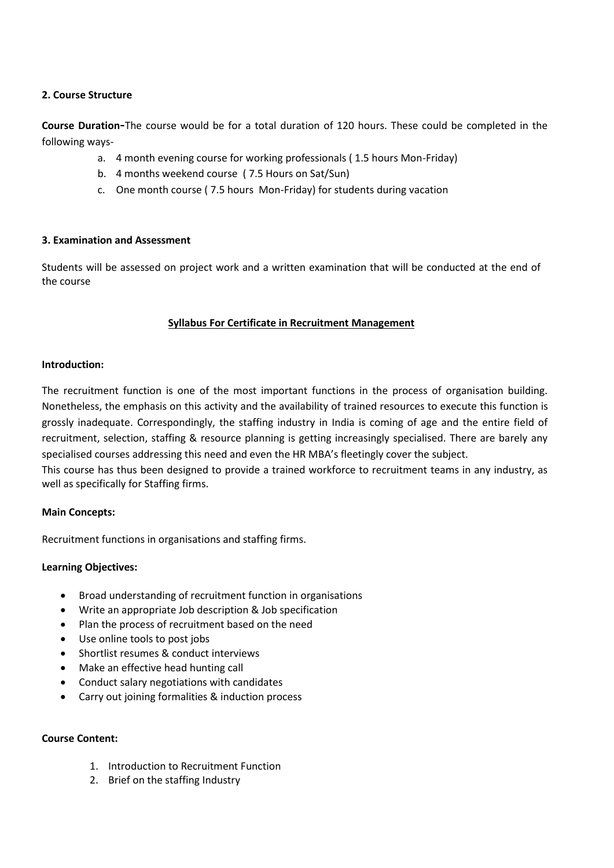# **2. Course Structure**

**Course Duration-**The course would be for a total duration of 120 hours. These could be completed in the following ways-

- a. 4 month evening course for working professionals ( 1.5 hours Mon-Friday)
- b. 4 months weekend course ( 7.5 Hours on Sat/Sun)
- c. One month course ( 7.5 hours Mon-Friday) for students during vacation

# **3. Examination and Assessment**

Students will be assessed on project work and a written examination that will be conducted at the end of the course

# **Syllabus For Certificate in Recruitment Management**

# **Introduction:**

The recruitment function is one of the most important functions in the process of organisation building. Nonetheless, the emphasis on this activity and the availability of trained resources to execute this function is grossly inadequate. Correspondingly, the staffing industry in India is coming of age and the entire field of recruitment, selection, staffing & resource planning is getting increasingly specialised. There are barely any specialised courses addressing this need and even the HR MBA's fleetingly cover the subject.

This course has thus been designed to provide a trained workforce to recruitment teams in any industry, as well as specifically for Staffing firms.

### **Main Concepts:**

Recruitment functions in organisations and staffing firms.

### **Learning Objectives:**

- Broad understanding of recruitment function in organisations
- Write an appropriate Job description & Job specification
- Plan the process of recruitment based on the need
- Use online tools to post jobs
- Shortlist resumes & conduct interviews
- Make an effective head hunting call
- Conduct salary negotiations with candidates
- Carry out joining formalities & induction process

# **Course Content:**

- 1. Introduction to Recruitment Function
- 2. Brief on the staffing Industry